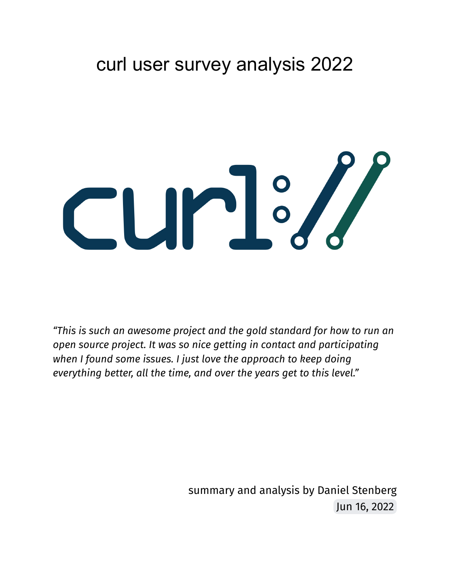# curl user survey analysis 2022



*"This is such an awesome project and the gold standard for how to run an open source project. It was so nice getting in contact and participating when I found some issues. I just love the approach to keep doing everything better, all the time, and over the years get to this level."*

> summary and analysis by Daniel Stenberg Jun 16, 2022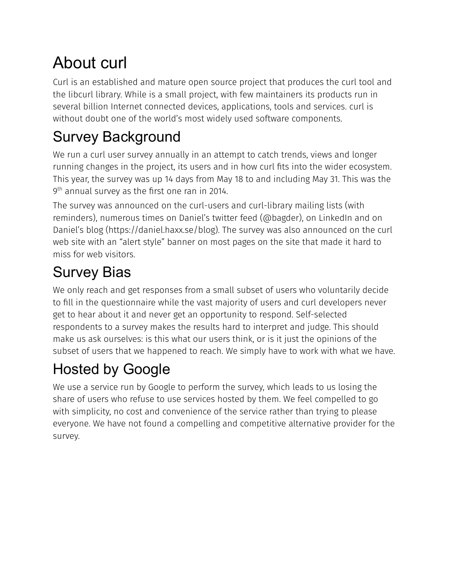# About curl

Curl is an established and mature open source project that produces the curl tool and the libcurl library. While is a small project, with few maintainers its products run in several billion Internet connected devices, applications, tools and services. curl is without doubt one of the world's most widely used software components.

# Survey Background

We run a curl user survey annually in an attempt to catch trends, views and longer running changes in the project, its users and in how curl fits into the wider ecosystem. This year, the survey was up 14 days from May 18 to and including May 31. This was the  $9<sup>th</sup>$  annual survey as the first one ran in 2014.

The survey was announced on the curl-users and curl-library mailing lists (with reminders), numerous times on Daniel's twitter feed (@bagder), on LinkedIn and on Daniel's blog (https://daniel.haxx.se/blog). The survey was also announced on the curl web site with an "alert style" banner on most pages on the site that made it hard to miss for web visitors.

# Survey Bias

We only reach and get responses from a small subset of users who voluntarily decide to fill in the questionnaire while the vast majority of users and curl developers never get to hear about it and never get an opportunity to respond. Self-selected respondents to a survey makes the results hard to interpret and judge. This should make us ask ourselves: is this what our users think, or is it just the opinions of the subset of users that we happened to reach. We simply have to work with what we have.

# Hosted by Google

We use a service run by Google to perform the survey, which leads to us losing the share of users who refuse to use services hosted by them. We feel compelled to go with simplicity, no cost and convenience of the service rather than trying to please everyone. We have not found a compelling and competitive alternative provider for the survey.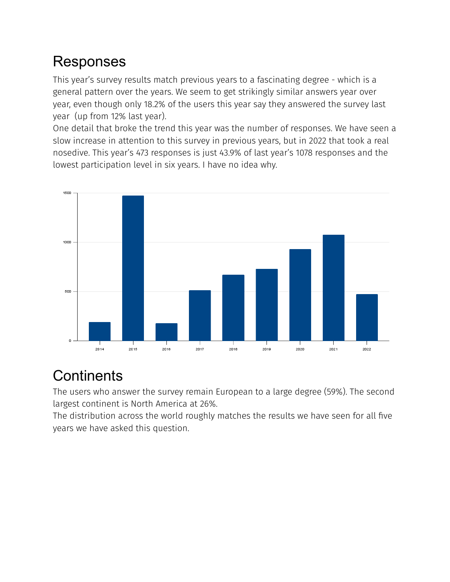#### Responses

This year's survey results match previous years to a fascinating degree - which is a general pattern over the years. We seem to get strikingly similar answers year over year, even though only 18.2% of the users this year say they answered the survey last year (up from 12% last year).

One detail that broke the trend this year was the number of responses. We have seen a slow increase in attention to this survey in previous years, but in 2022 that took a real nosedive. This year's 473 responses is just 43.9% of last year's 1078 responses and the lowest participation level in six years. I have no idea why.



## **Continents**

The users who answer the survey remain European to a large degree (59%). The second largest continent is North America at 26%.

The distribution across the world roughly matches the results we have seen for all five years we have asked this question.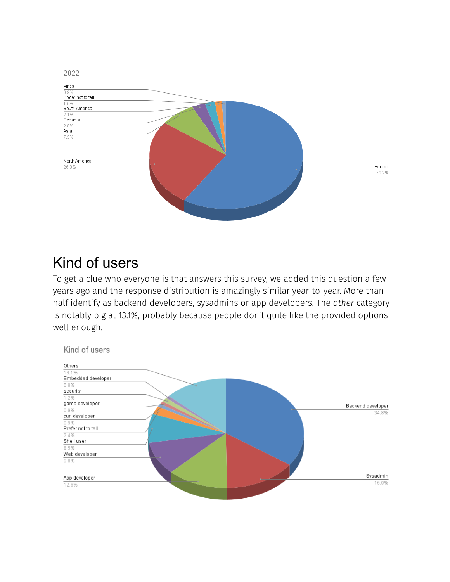

#### Kind of users

To get a clue who everyone is that answers this survey, we added this question a few years ago and the response distribution is amazingly similar year-to-year. More than half identify as backend developers, sysadmins or app developers. The *other* category is notably big at 13.1%, probably because people don't quite like the provided options well enough.

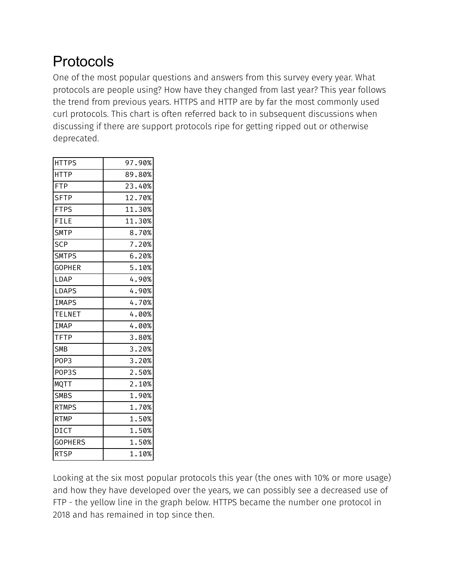### Protocols

One of the most popular questions and answers from this survey every year. What protocols are people using? How have they changed from last year? This year follows the trend from previous years. HTTPS and HTTP are by far the most commonly used curl protocols. This chart is often referred back to in subsequent discussions when discussing if there are support protocols ripe for getting ripped out or otherwise deprecated.

| <b>HTTPS</b>     | 97.90% |
|------------------|--------|
| <b>HTTP</b>      | 89.80% |
| <b>FTP</b>       | 23.40% |
| <b>SFTP</b>      | 12.70% |
| <b>FTPS</b>      | 11.30% |
| FILE             | 11.30% |
| <b>SMTP</b>      | 8.70%  |
| <b>SCP</b>       | 7.20%  |
| <b>SMTPS</b>     | 6.20%  |
| <b>GOPHER</b>    | 5.10%  |
| LDAP             | 4.90%  |
| <b>LDAPS</b>     | 4.90%  |
| <b>IMAPS</b>     | 4.70%  |
| <b>TELNET</b>    | 4.00%  |
| <b>IMAP</b>      | 4.00%  |
| <b>TFTP</b>      | 3.80%  |
| <b>SMB</b>       | 3.20%  |
| POP <sub>3</sub> | 3.20%  |
| POP3S            | 2.50%  |
| <b>MQTT</b>      | 2.10%  |
| <b>SMBS</b>      | 1.90%  |
| <b>RTMPS</b>     | 1.70%  |
| <b>RTMP</b>      | 1.50%  |
| <b>DICT</b>      | 1.50%  |
| <b>GOPHERS</b>   | 1.50%  |
| <b>RTSP</b>      | 1.10%  |

Looking at the six most popular protocols this year (the ones with 10% or more usage) and how they have developed over the years, we can possibly see a decreased use of FTP - the yellow line in the graph below. HTTPS became the number one protocol in 2018 and has remained in top since then.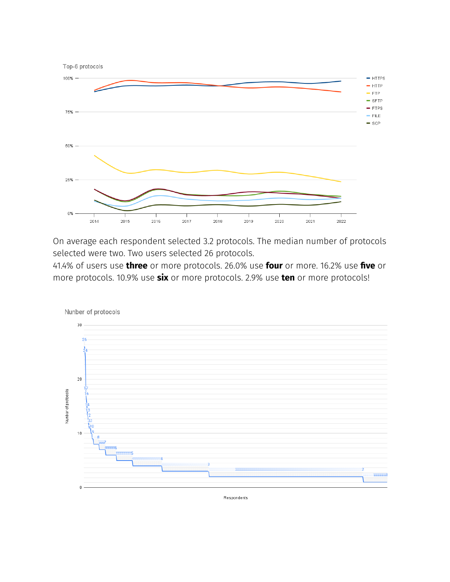

On average each respondent selected 3.2 protocols. The median number of protocols selected were two. Two users selected 26 protocols.

41.4% of users use **three** or more protocols. 26.0% use **four** or more. 16.2% use **five** or more protocols. 10.9% use **six** or more protocols. 2.9% use **ten** or more protocols!



Respondents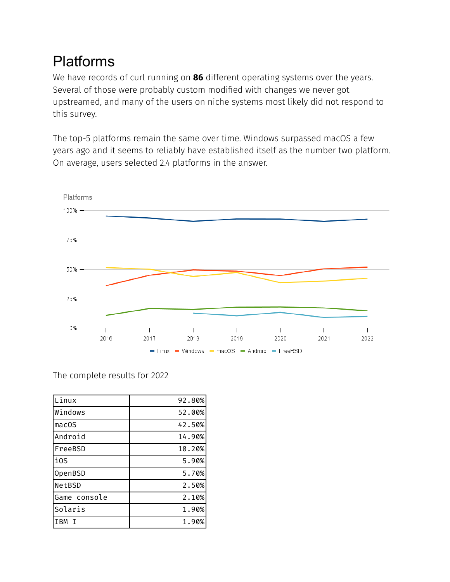#### Platforms

We have records of curl running on **86** different operating systems over the years. Several of those were probably custom modified with changes we never got upstreamed, and many of the users on niche systems most likely did not respond to this survey.

The top-5 platforms remain the same over time. Windows surpassed macOS a few years ago and it seems to reliably have established itself as the number two platform. On average, users selected 2.4 platforms in the answer.



The complete results for 2022

| Linux             | 92.80% |
|-------------------|--------|
| Windows           | 52.00% |
| mac <sub>OS</sub> | 42.50% |
| Android           | 14.90% |
| FreeBSD           | 10.20% |
| i0S               | 5.90%  |
| OpenBSD           | 5.70%  |
| NetBSD            | 2.50%  |
| Game console      | 2.10%  |
| Solaris           | 1.90%  |
| <b>TRM</b>        | 1.90%  |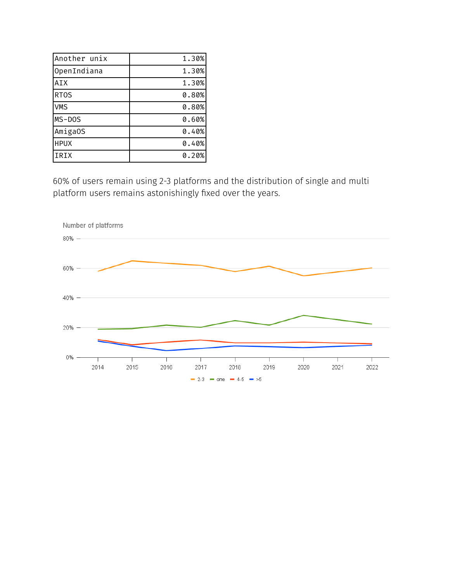| Another unix | 1.30% |
|--------------|-------|
| OpenIndiana  | 1.30% |
| <b>AIX</b>   | 1.30% |
| <b>RTOS</b>  | 0.80% |
| <b>VMS</b>   | 0.80% |
| MS-DOS       | 0.60% |
| AmigaOS      | 0.40% |
| <b>HPUX</b>  | 0.40% |
| IRIX         | 0.20% |

60% of users remain using 2-3 platforms and the distribution of single and multi platform users remains astonishingly fixed over the years.

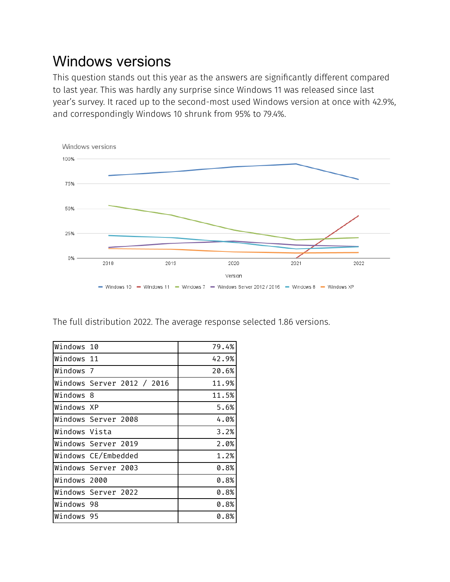#### Windows versions

This question stands out this year as the answers are significantly different compared to last year. This was hardly any surprise since Windows 11 was released since last year's survey. It raced up to the second-most used Windows version at once with 42.9%, and correspondingly Windows 10 shrunk from 95% to 79.4%.



The full distribution 2022. The average response selected 1.86 versions.

| Windows 10    |                            | 79.4% |
|---------------|----------------------------|-------|
| Windows 11    |                            | 42.9% |
| Windows 7     |                            | 20.6% |
|               | Windows Server 2012 / 2016 | 11.9% |
| Windows 8     |                            | 11.5% |
| Windows XP    |                            | 5.6%  |
|               | Windows Server 2008        | 4.0%  |
| Windows Vista |                            | 3.2%  |
|               | lWindows Server 2019       | 2.0%  |
|               | Windows CE/Embedded        | 1.2%  |
|               | Windows Server 2003        | 0.8%  |
| Windows 2000  |                            | 0.8%  |
|               | Windows Server 2022        | 0.8%  |
| Windows 98    |                            | 0.8%  |
| Windows 95    |                            | 0.8%  |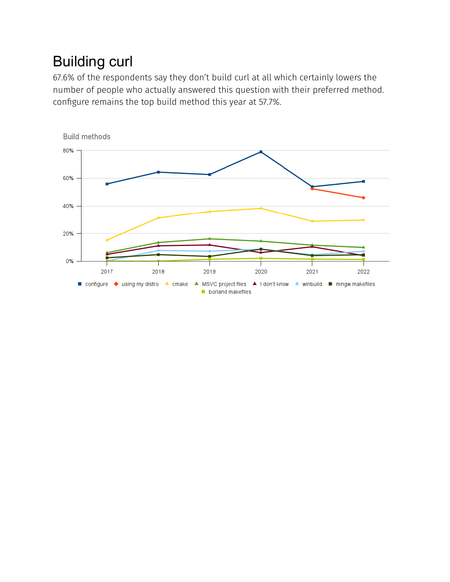## Building curl

67.6% of the respondents say they don't build curl at all which certainly lowers the number of people who actually answered this question with their preferred method. configure remains the top build method this year at 57.7%.

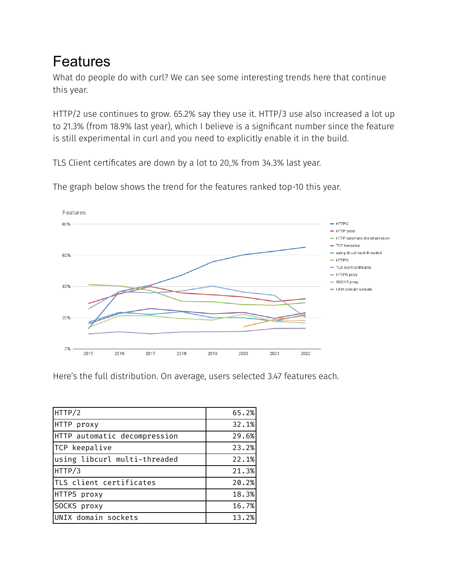#### Features

What do people do with curl? We can see some interesting trends here that continue this year.

HTTP/2 use continues to grow. 65.2% say they use it. HTTP/3 use also increased a lot up to 21.3% (from 18.9% last year), which I believe is a significant number since the feature is still experimental in curl and you need to explicitly enable it in the build.

TLS Client certificates are down by a lot to 20,% from 34.3% last year.



The graph below shows the trend for the features ranked top-10 this year.

Here's the full distribution. On average, users selected 3.47 features each.

| HTTP/2                       | 65.2% |
|------------------------------|-------|
| HTTP proxy                   | 32.1% |
| HTTP automatic decompression | 29.6% |
| TCP keepalive                | 23.2% |
| using libcurl multi-threaded | 22.1% |
| HTTP/3                       | 21.3% |
| TLS client certificates      | 20.2% |
| HTTPS proxy                  | 18.3% |
| SOCKS proxy                  | 16.7% |
| UNIX domain sockets          | 13.2% |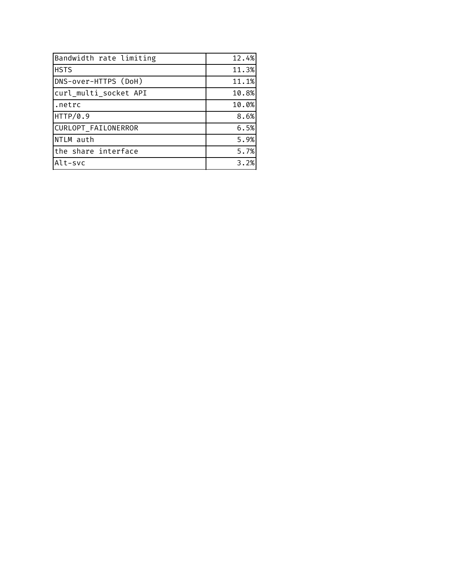| Bandwidth rate limiting | 12.4% |
|-------------------------|-------|
| <b>HSTS</b>             | 11.3% |
| DNS-over-HTTPS (DoH)    | 11.1% |
| curl_multi_socket API   | 10.8% |
| I.netrc                 | 10.0% |
| HTTP/0.9                | 8.6%  |
| CURLOPT FAILONERROR     | 6.5%  |
| NTLM auth               | 5.9%  |
| the share interface     | 5.7%  |
| Alt-svc                 | 3.2%  |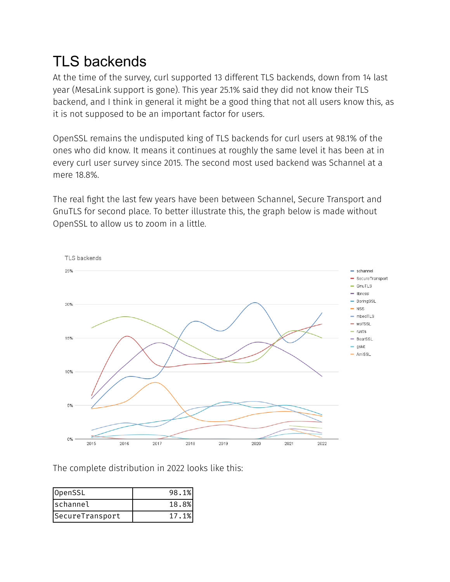## TLS backends

At the time of the survey, curl supported 13 different TLS backends, down from 14 last year (MesaLink support is gone). This year 25.1% said they did not know their TLS backend, and I think in general it might be a good thing that not all users know this, as it is not supposed to be an important factor for users.

OpenSSL remains the undisputed king of TLS backends for curl users at 98.1% of the ones who did know. It means it continues at roughly the same level it has been at in every curl user survey since 2015. The second most used backend was Schannel at a mere 18.8%.

The real fight the last few years have been between Schannel, Secure Transport and GnuTLS for second place. To better illustrate this, the graph below is made without OpenSSL to allow us to zoom in a little.



The complete distribution in 2022 looks like this:

| OpenSSL         | 98.1% |
|-----------------|-------|
| schannel        | 18.8% |
| SecureTransport | 17.1% |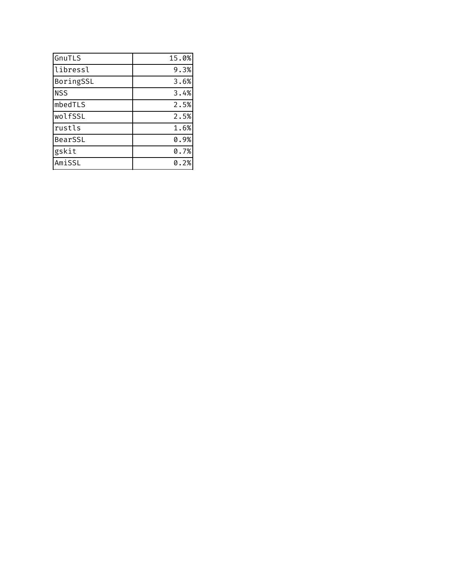| GnuTLS     | 15.0% |
|------------|-------|
| libressl   | 9.3%  |
| BoringSSL  | 3.6%  |
| <b>NSS</b> | 3.4%  |
| mbedTLS    | 2.5%  |
| wolfSSL    | 2.5%  |
| rustls     | 1.6%  |
| BearSSL    | 0.9%  |
| gskit      | 0.7%  |
| AmiSSL     | 0.2%  |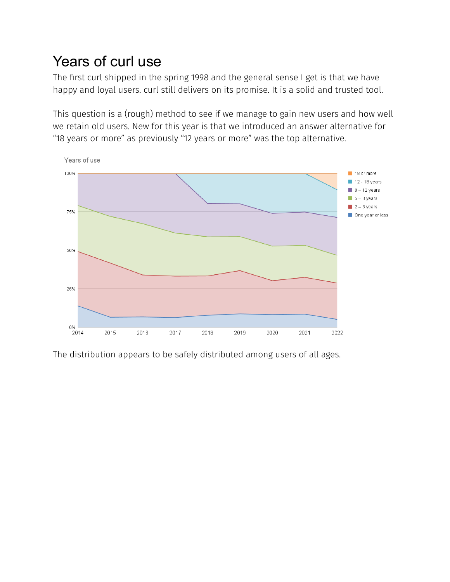### Years of curl use

The first curl shipped in the spring 1998 and the general sense I get is that we have happy and loyal users. curl still delivers on its promise. It is a solid and trusted tool.

This question is a (rough) method to see if we manage to gain new users and how well we retain old users. New for this year is that we introduced an answer alternative for "18 years or more" as previously "12 years or more" was the top alternative.



The distribution appears to be safely distributed among users of all ages.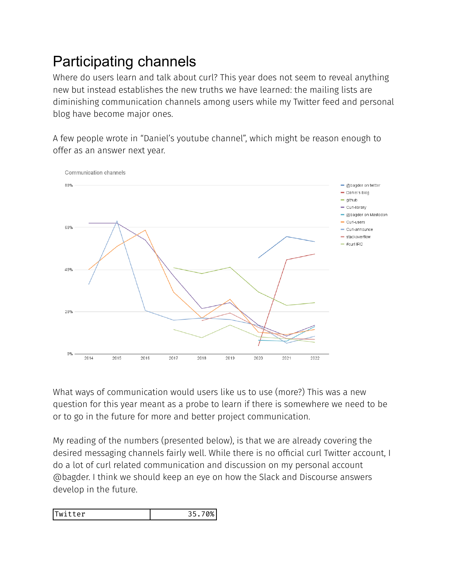## Participating channels

Where do users learn and talk about curl? This year does not seem to reveal anything new but instead establishes the new truths we have learned: the mailing lists are diminishing communication channels among users while my Twitter feed and personal blog have become major ones.

A few people wrote in "Daniel's youtube channel", which might be reason enough to offer as an answer next year.



What ways of communication would users like us to use (more?) This was a new question for this year meant as a probe to learn if there is somewhere we need to be or to go in the future for more and better project communication.

My reading of the numbers (presented below), is that we are already covering the desired messaging channels fairly well. While there is no official curl Twitter account, I do a lot of curl related communication and discussion on my personal account @bagder. I think we should keep an eye on how the Slack and Discourse answers develop in the future.

| Twitter | 70%<br>35 |
|---------|-----------|
|---------|-----------|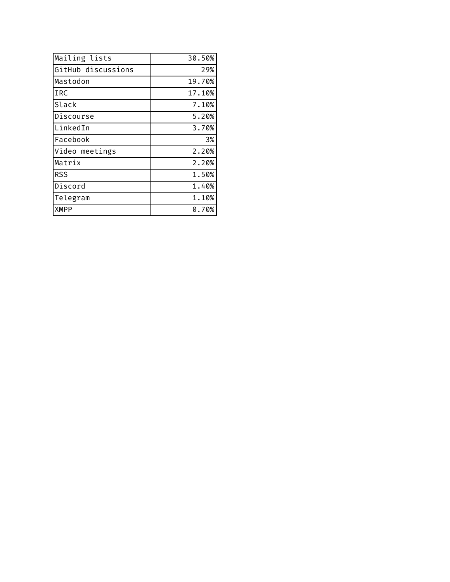| Mailing lists      | 30.50% |
|--------------------|--------|
| GitHub discussions | 29%    |
| Mastodon           | 19.70% |
| IRC                | 17.10% |
| Slack              | 7.10%  |
| Discourse          | 5.20%  |
| LinkedIn           | 3.70%  |
| Facebook           | 3%     |
| Video meetings     | 2.20%  |
| Matrix             | 2.20%  |
| <b>RSS</b>         | 1.50%  |
| Discord            | 1.40%  |
| Telegram           | 1.10%  |
| <b>XMPP</b>        | 0.70%  |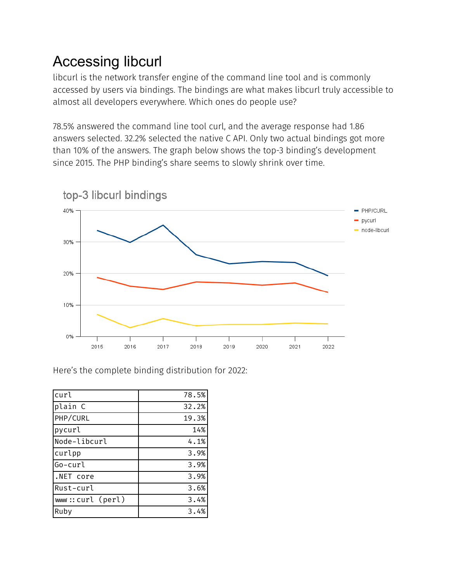## Accessing libcurl

libcurl is the network transfer engine of the command line tool and is commonly accessed by users via bindings. The bindings are what makes libcurl truly accessible to almost all developers everywhere. Which ones do people use?

78.5% answered the command line tool curl, and the average response had 1.86 answers selected. 32.2% selected the native C API. Only two actual bindings got more than 10% of the answers. The graph below shows the top-3 binding's development since 2015. The PHP binding's share seems to slowly shrink over time.



Here's the complete binding distribution for 2022:

| curl             | 78.5% |
|------------------|-------|
| plain C          | 32.2% |
| PHP/CURL         | 19.3% |
| pycurl           | 14%   |
| Node-libcurl     | 4.1%  |
| curlpp           | 3.9%  |
| Go-curl          | 3.9%  |
| .NET core        | 3.9%  |
| Rust-curl        | 3.6%  |
| www::curl (perl) | 3.4%  |
| Ruby             | 3.4%  |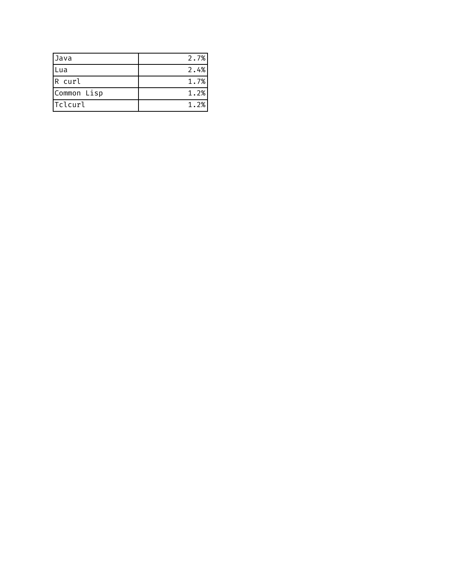| <b>Java</b>    | 2.7% |
|----------------|------|
| Lua            | 2.4% |
| R curl         | 1.7% |
| Common Lisp    | 1.2% |
| <b>Tclcurl</b> | 1.2% |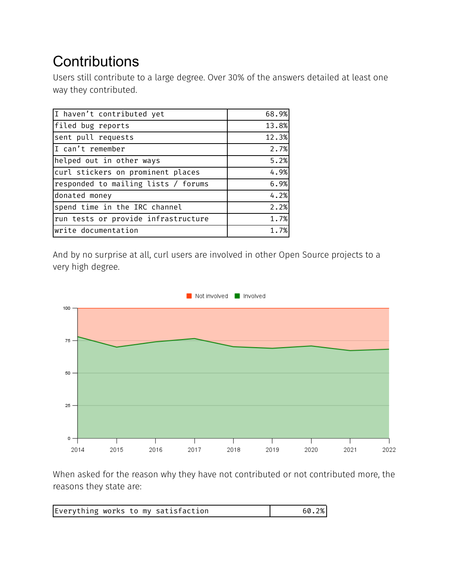## **Contributions**

Users still contribute to a large degree. Over 30% of the answers detailed at least one way they contributed.

| I haven't contributed yet           | 68.9% |
|-------------------------------------|-------|
| filed bug reports                   | 13.8% |
| sent pull requests                  | 12.3% |
| I can't remember                    | 2.7%  |
| helped out in other ways            | 5.2%  |
| curl stickers on prominent places   | 4.9%  |
| responded to mailing lists / forums | 6.9%  |
| donated money                       | 4.2%  |
| spend time in the IRC channel       | 2.2%  |
| run tests or provide infrastructure | 1.7%  |
| write documentation                 | 1.7%  |
|                                     |       |

And by no surprise at all, curl users are involved in other Open Source projects to a very high degree.



When asked for the reason why they have not contributed or not contributed more, the reasons they state are:

| Everything works to my satisfaction |
|-------------------------------------|
|-------------------------------------|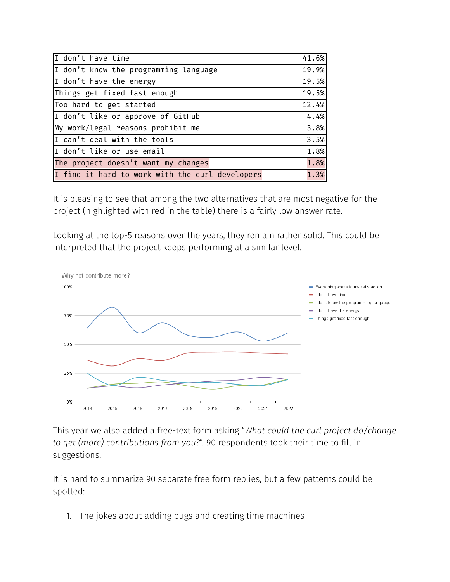| I don't have time                               | 41.6% |
|-------------------------------------------------|-------|
| I don't know the programming language           | 19.9% |
| I don't have the energy                         | 19.5% |
| Things get fixed fast enough                    | 19.5% |
| Too hard to get started                         | 12.4% |
| I don't like or approve of GitHub               | 4.4%  |
| My work/legal reasons prohibit me               | 3.8%  |
| I can't deal with the tools                     | 3.5%  |
| I don't like or use email                       | 1.8%  |
| The project doesn't want my changes             | 1.8%  |
| I find it hard to work with the curl developers | 1.3%  |

It is pleasing to see that among the two alternatives that are most negative for the project (highlighted with red in the table) there is a fairly low answer rate.

Looking at the top-5 reasons over the years, they remain rather solid. This could be interpreted that the project keeps performing at a similar level.



This year we also added a free-text form asking "*What could the curl project do/change to get (more) contributions from you?*". 90 respondents took their time to fill in suggestions.

It is hard to summarize 90 separate free form replies, but a few patterns could be spotted:

1. The jokes about adding bugs and creating time machines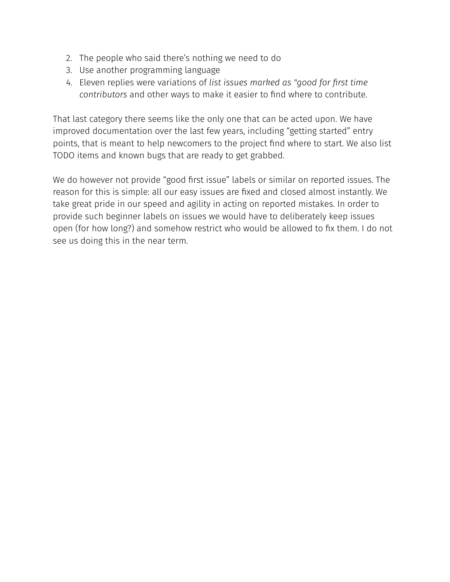- 2. The people who said there's nothing we need to do
- 3. Use another programming language
- 4. Eleven replies were variations of *list issues marked as "good for first time contributors* and other ways to make it easier to find where to contribute.

That last category there seems like the only one that can be acted upon. We have improved documentation over the last few years, including "getting started" entry points, that is meant to help newcomers to the project find where to start. We also list TODO items and known bugs that are ready to get grabbed.

We do however not provide "good first issue" labels or similar on reported issues. The reason for this is simple: all our easy issues are fixed and closed almost instantly. We take great pride in our speed and agility in acting on reported mistakes. In order to provide such beginner labels on issues we would have to deliberately keep issues open (for how long?) and somehow restrict who would be allowed to fix them. I do not see us doing this in the near term.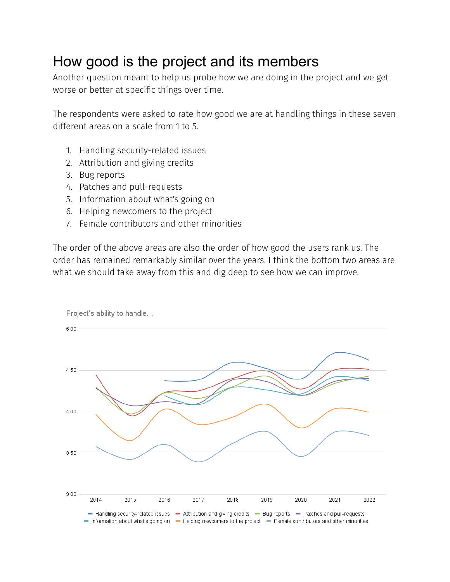#### How good is the project and its members

Another question meant to help us probe how we are doing in the project and we get worse or better at specific things over time.

The respondents were asked to rate how good we are at handling things in these seven different areas on a scale from 1 to 5.

- 1. Handling security-related issues
- 2. Attribution and giving credits
- 3. Bug reports
- 4. Patches and pull-requests
- 5. Information about what's going on
- 6. Helping newcomers to the project
- 7. Female contributors and other minorities

The order of the above areas are also the order of how good the users rank us. The order has remained remarkably similar over the years. I think the bottom two areas are what we should take away from this and dig deep to see how we can improve.

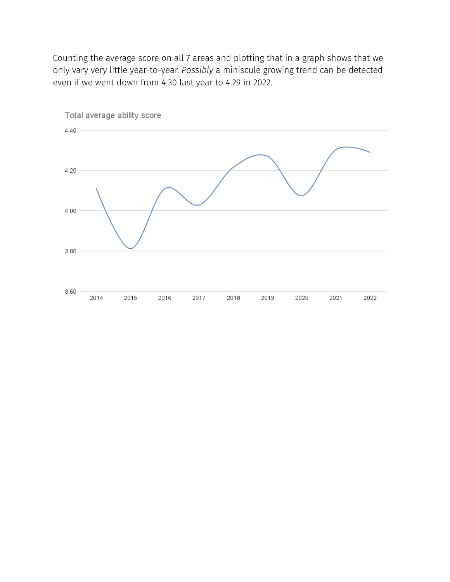Counting the average score on all 7 areas and plotting that in a graph shows that we only vary very little year-to-year. *Possibly* a miniscule growing trend can be detected even if we went down from 4.30 last year to 4.29 in 2022.

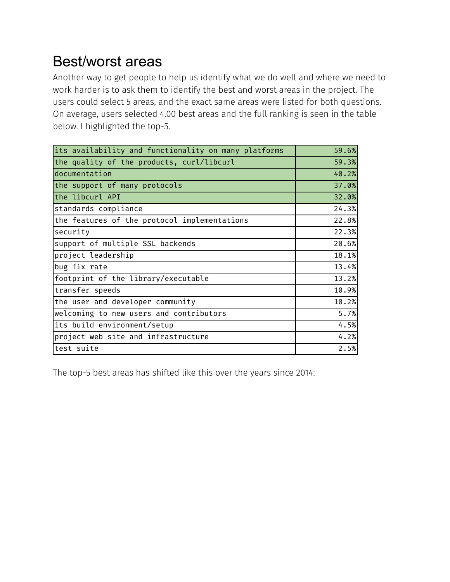#### Best/worst areas

Another way to get people to help us identify what we do well and where we need to work harder is to ask them to identify the best and worst areas in the project. The users could select 5 areas, and the exact same areas were listed for both questions. On average, users selected 4.00 best areas and the full ranking is seen in the table below. I highlighted the top-5.

| 59.6% |
|-------|
| 59.3% |
| 40.2% |
| 37.0% |
| 32.0% |
| 24.3% |
| 22.8% |
| 22.3% |
| 20.6% |
| 18.1% |
| 13.4% |
| 13.2% |
| 10.9% |
| 10.2% |
| 5.7%  |
| 4.5%  |
| 4.2%  |
| 2.5%  |
|       |

The top-5 best areas has shifted like this over the years since 2014: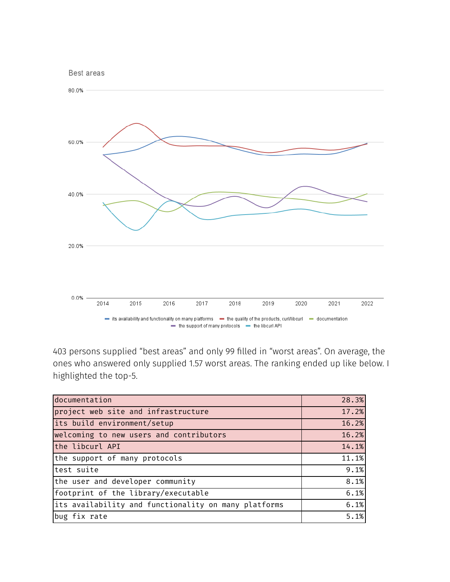

403 persons supplied "best areas" and only 99 filled in "worst areas". On average, the ones who answered only supplied 1.57 worst areas. The ranking ended up like below. I highlighted the top-5.

| documentation                                        | 28.3% |
|------------------------------------------------------|-------|
| project web site and infrastructure                  | 17.2% |
| its build environment/setup                          | 16.2% |
| welcoming to new users and contributors              | 16.2% |
| the libcurl API                                      | 14.1% |
| the support of many protocols                        | 11.1% |
| test suite                                           | 9.1%  |
| the user and developer community                     | 8.1%  |
| footprint of the library/executable                  | 6.1%  |
| its availability and functionality on many platforms | 6.1%  |
| bug fix rate                                         | 5.1%  |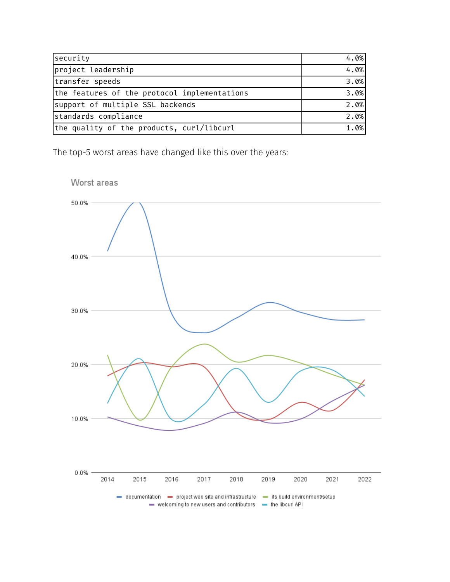| security                                     | 4.0% |
|----------------------------------------------|------|
| project leadership                           | 4.0% |
| transfer speeds                              | 3.0% |
| the features of the protocol implementations | 3.0% |
| support of multiple SSL backends             | 2.0% |
| standards compliance                         | 2.0% |
| the quality of the products, curl/libcurl    | 1.0% |

The top-5 worst areas have changed like this over the years:



Worst areas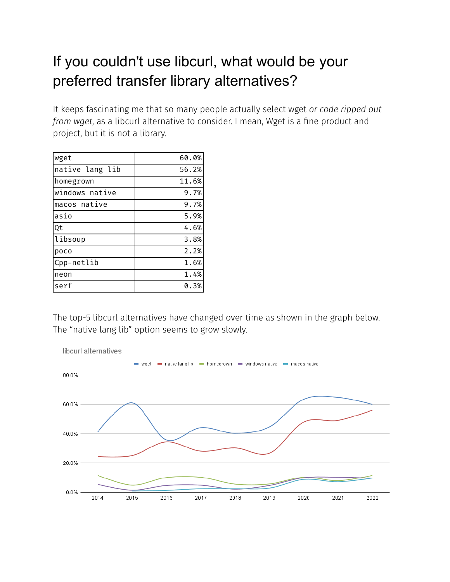### If you couldn't use libcurl, what would be your preferred transfer library alternatives?

It keeps fascinating me that so many people actually select wget *or code ripped out from wget*, as a libcurl alternative to consider. I mean, Wget is a fine product and project, but it is not a library.

| wget            | 60.0% |
|-----------------|-------|
| native lang lib | 56.2% |
| homegrown       | 11.6% |
| windows native  | 9.7%  |
| macos native    | 9.7%  |
| asio            | 5.9%  |
| Qt              | 4.6%  |
| libsoup         | 3.8%  |
| poco            | 2.2%  |
| Cpp-netlib      | 1.6%  |
| neon            | 1.4%  |
| serf            | 0.3%  |

The top-5 libcurl alternatives have changed over time as shown in the graph below. The "native lang lib" option seems to grow slowly.

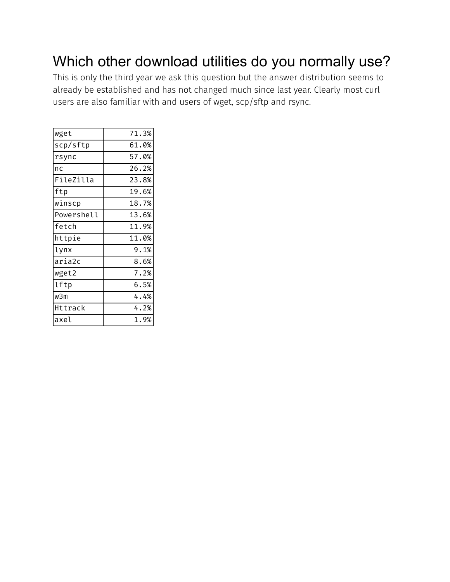#### Which other download utilities do you normally use?

This is only the third year we ask this question but the answer distribution seems to already be established and has not changed much since last year. Clearly most curl users are also familiar with and users of wget, scp/sftp and rsync.

| wget       | 71.3%   |
|------------|---------|
| scp/sftp   | 61.0%   |
| rsync      | 57.0%   |
| nc         | 26.2%   |
| FileZilla  | 23.8%   |
| ftp        | 19.6%   |
| winscp     | 18.7%   |
| Powershell | 13.6%   |
| fetch      | 11.9%   |
| httpie     | 11.0%   |
| lynx       | 9.1%    |
| aria2c     | 8.6%    |
| wget2      | 7.2%    |
| lftp       | $6.5\%$ |
| w3m        | 4.4%    |
| Httrack    | 4.2%    |
| laxel      | 1.9%    |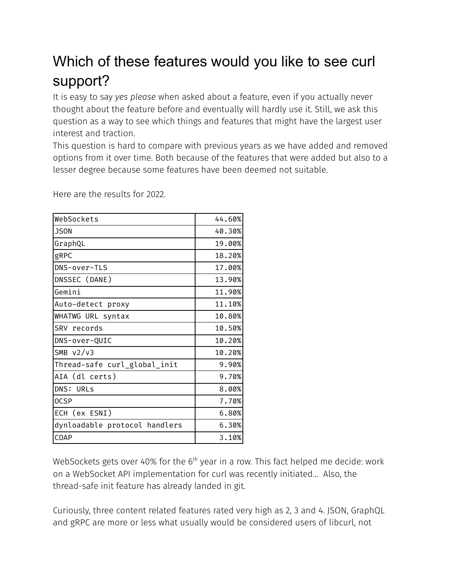## Which of these features would you like to see curl support?

It is easy to say *yes please* when asked about a feature, even if you actually never thought about the feature before and eventually will hardly use it. Still, we ask this question as a way to see which things and features that might have the largest user interest and traction.

This question is hard to compare with previous years as we have added and removed options from it over time. Both because of the features that were added but also to a lesser degree because some features have been deemed not suitable.

Here are the results for 2022.

| 44.60% |
|--------|
| 40.30% |
| 19.00% |
| 18.20% |
| 17.00% |
| 13.90% |
| 11.90% |
| 11.10% |
| 10.80% |
| 10.50% |
| 10.20% |
| 10.20% |
| 9.90%  |
| 9.70%  |
| 8.00%  |
| 7.70%  |
| 6.80%  |
| 6.30%  |
| 3.10%  |
|        |

WebSockets gets over 40% for the  $6^{\text{th}}$  year in a row. This fact helped me decide: work on a WebSocket API implementation for curl was recently initiated… Also, the thread-safe init feature has already landed in git.

Curiously, three content related features rated very high as 2, 3 and 4. JSON, GraphQL and gRPC are more or less what usually would be considered users of libcurl, not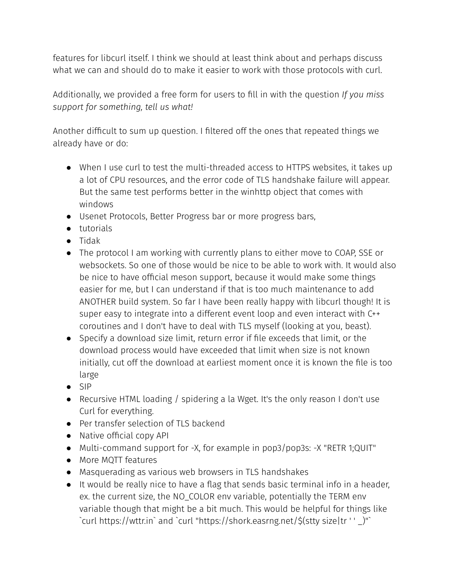features for libcurl itself. I think we should at least think about and perhaps discuss what we can and should do to make it easier to work with those protocols with curl.

Additionally, we provided a free form for users to fill in with the question *If you miss support for something, tell us what!*

Another difficult to sum up question. I filtered off the ones that repeated things we already have or do:

- When I use curl to test the multi-threaded access to HTTPS websites, it takes up a lot of CPU resources, and the error code of TLS handshake failure will appear. But the same test performs better in the winhttp object that comes with windows
- Usenet Protocols, Better Progress bar or more progress bars,
- tutorials
- Tidak
- The protocol I am working with currently plans to either move to COAP, SSE or websockets. So one of those would be nice to be able to work with. It would also be nice to have official meson support, because it would make some things easier for me, but I can understand if that is too much maintenance to add ANOTHER build system. So far I have been really happy with libcurl though! It is super easy to integrate into a different event loop and even interact with C++ coroutines and I don't have to deal with TLS myself (looking at you, beast).
- Specify a download size limit, return error if file exceeds that limit, or the download process would have exceeded that limit when size is not known initially, cut off the download at earliest moment once it is known the file is too large
- $\bullet$  SIP
- Recursive HTML loading / spidering a la Wget. It's the only reason I don't use Curl for everything.
- Per transfer selection of TLS backend
- Native official copy API
- Multi-command support for -X, for example in pop3/pop3s: -X "RETR 1;QUIT"
- More MQTT features
- Masquerading as various web browsers in TLS handshakes
- It would be really nice to have a flag that sends basic terminal info in a header, ex. the current size, the NO\_COLOR env variable, potentially the TERM env variable though that might be a bit much. This would be helpful for things like `curl https://wttr.in` and `curl "https://shork.easrng.net/\$(stty size|tr ' ' \_)"`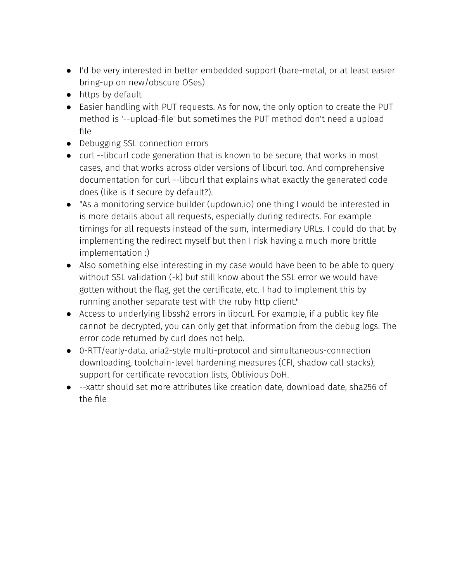- I'd be very interested in better embedded support (bare-metal, or at least easier bring-up on new/obscure OSes)
- https by default
- Easier handling with PUT requests. As for now, the only option to create the PUT method is '--upload-file' but sometimes the PUT method don't need a upload file
- Debugging SSL connection errors
- curl --libcurl code generation that is known to be secure, that works in most cases, and that works across older versions of libcurl too. And comprehensive documentation for curl --libcurl that explains what exactly the generated code does (like is it secure by default?).
- "As a monitoring service builder (updown.io) one thing I would be interested in is more details about all requests, especially during redirects. For example timings for all requests instead of the sum, intermediary URLs. I could do that by implementing the redirect myself but then I risk having a much more brittle implementation :)
- Also something else interesting in my case would have been to be able to query without SSL validation (-k) but still know about the SSL error we would have gotten without the flag, get the certificate, etc. I had to implement this by running another separate test with the ruby http client."
- Access to underlying libssh2 errors in libcurl. For example, if a public key file cannot be decrypted, you can only get that information from the debug logs. The error code returned by curl does not help.
- 0-RTT/early-data, aria2-style multi-protocol and simultaneous-connection downloading, toolchain-level hardening measures (CFI, shadow call stacks), support for certificate revocation lists, Oblivious DoH.
- --xattr should set more attributes like creation date, download date, sha256 of the file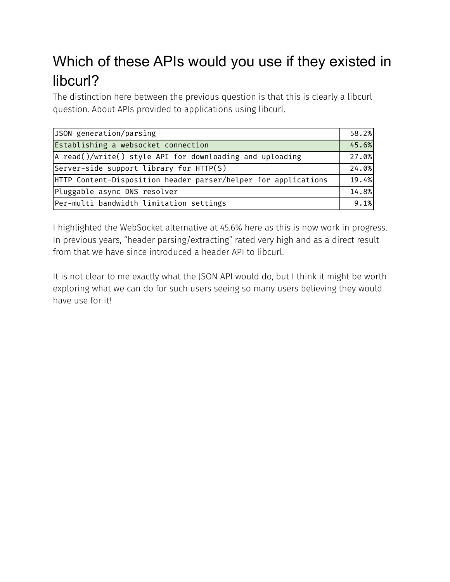## Which of these APIs would you use if they existed in libcurl?

The distinction here between the previous question is that this is clearly a libcurl question. About APIs provided to applications using libcurl.

| JSON generation/parsing                                        | 58.2% |
|----------------------------------------------------------------|-------|
| Establishing a websocket connection                            | 45.6% |
| A read()/write() style API for downloading and uploading       | 27.0% |
| Server-side support library for HTTP(S)                        | 24.0% |
| HTTP Content-Disposition header parser/helper for applications | 19.4% |
| Pluggable async DNS resolver                                   | 14.8% |
| Per-multi bandwidth limitation settings                        | 9.1%  |

I highlighted the WebSocket alternative at 45.6% here as this is now work in progress. In previous years, "header parsing/extracting" rated very high and as a direct result from that we have since introduced a header API to libcurl.

It is not clear to me exactly what the JSON API would do, but I think it might be worth exploring what we can do for such users seeing so many users believing they would have use for it!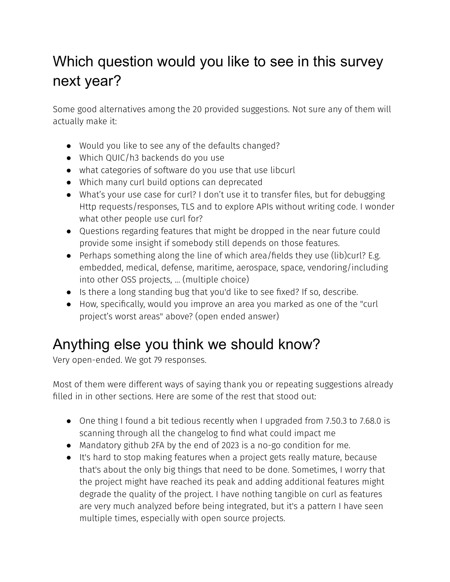## Which question would you like to see in this survey next year?

Some good alternatives among the 20 provided suggestions. Not sure any of them will actually make it:

- Would you like to see any of the defaults changed?
- Which QUIC/h3 backends do you use
- what categories of software do you use that use libcurl
- Which many curl build options can deprecated
- What's your use case for curl? I don't use it to transfer files, but for debugging Http requests/responses, TLS and to explore APIs without writing code. I wonder what other people use curl for?
- Questions regarding features that might be dropped in the near future could provide some insight if somebody still depends on those features.
- Perhaps something along the line of which area/fields they use (lib)curl? E.g. embedded, medical, defense, maritime, aerospace, space, vendoring/including into other OSS projects, ... (multiple choice)
- Is there a long standing bug that you'd like to see fixed? If so, describe.
- How, specifically, would you improve an area you marked as one of the "curl project's worst areas" above? (open ended answer)

## Anything else you think we should know?

Very open-ended. We got 79 responses.

Most of them were different ways of saying thank you or repeating suggestions already filled in in other sections. Here are some of the rest that stood out:

- One thing I found a bit tedious recently when I upgraded from 7.50.3 to 7.68.0 is scanning through all the changelog to find what could impact me
- Mandatory github 2FA by the end of 2023 is a no-go condition for me.
- It's hard to stop making features when a project gets really mature, because that's about the only big things that need to be done. Sometimes, I worry that the project might have reached its peak and adding additional features might degrade the quality of the project. I have nothing tangible on curl as features are very much analyzed before being integrated, but it's a pattern I have seen multiple times, especially with open source projects.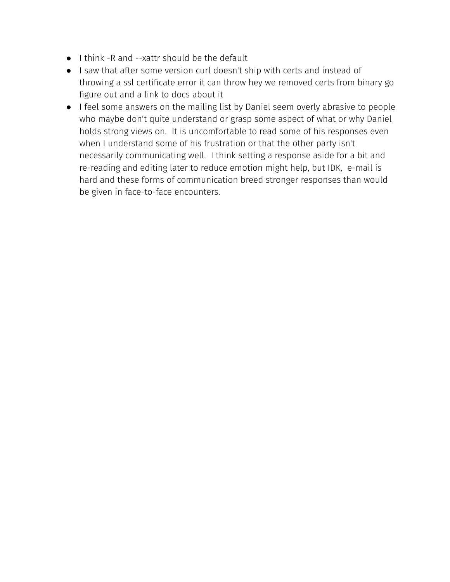- I think -R and --xattr should be the default
- I saw that after some version curl doesn't ship with certs and instead of throwing a ssl certificate error it can throw hey we removed certs from binary go figure out and a link to docs about it
- I feel some answers on the mailing list by Daniel seem overly abrasive to people who maybe don't quite understand or grasp some aspect of what or why Daniel holds strong views on. It is uncomfortable to read some of his responses even when I understand some of his frustration or that the other party isn't necessarily communicating well. I think setting a response aside for a bit and re-reading and editing later to reduce emotion might help, but IDK, e-mail is hard and these forms of communication breed stronger responses than would be given in face-to-face encounters.